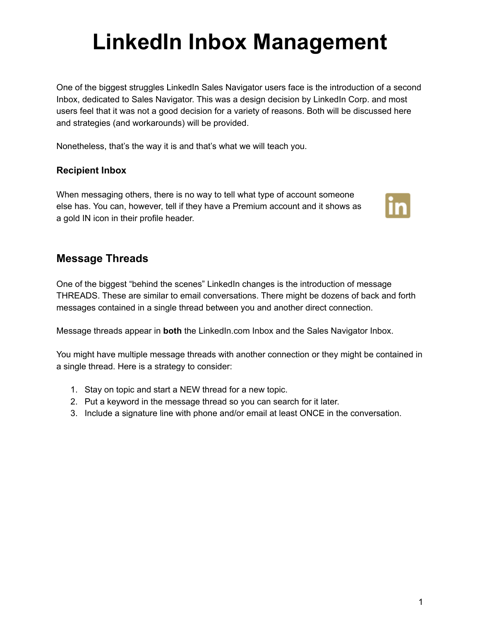# **LinkedIn Inbox Management**

One of the biggest struggles LinkedIn Sales Navigator users face is the introduction of a second Inbox, dedicated to Sales Navigator. This was a design decision by LinkedIn Corp. and most users feel that it was not a good decision for a variety of reasons. Both will be discussed here and strategies (and workarounds) will be provided.

Nonetheless, that's the way it is and that's what we will teach you.

# **Recipient Inbox**

When messaging others, there is no way to tell what type of account someone else has. You can, however, tell if they have a Premium account and it shows as a gold IN icon in their profile header.



# **Message Threads**

One of the biggest "behind the scenes" LinkedIn changes is the introduction of message THREADS. These are similar to email conversations. There might be dozens of back and forth messages contained in a single thread between you and another direct connection.

Message threads appear in **both** the LinkedIn.com Inbox and the Sales Navigator Inbox.

You might have multiple message threads with another connection or they might be contained in a single thread. Here is a strategy to consider:

- 1. Stay on topic and start a NEW thread for a new topic.
- 2. Put a keyword in the message thread so you can search for it later.
- 3. Include a signature line with phone and/or email at least ONCE in the conversation.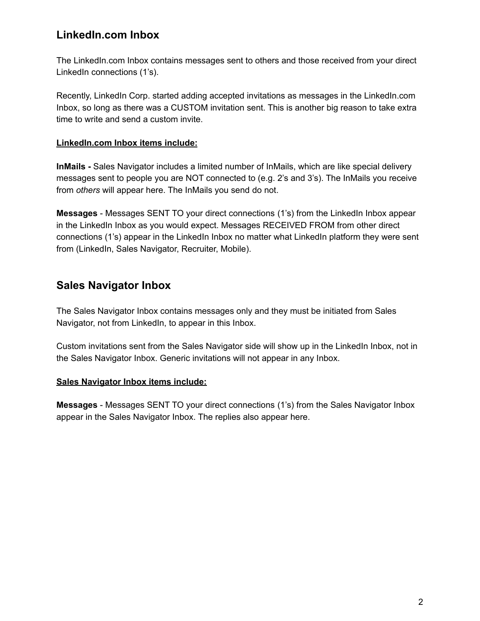# **LinkedIn.com Inbox**

The LinkedIn.com Inbox contains messages sent to others and those received from your direct LinkedIn connections (1's).

Recently, LinkedIn Corp. started adding accepted invitations as messages in the LinkedIn.com Inbox, so long as there was a CUSTOM invitation sent. This is another big reason to take extra time to write and send a custom invite.

## **LinkedIn.com Inbox items include:**

**InMails -** Sales Navigator includes a limited number of InMails, which are like special delivery messages sent to people you are NOT connected to (e.g. 2's and 3's). The InMails you receive from *others* will appear here. The InMails you send do not.

**Messages** - Messages SENT TO your direct connections (1's) from the LinkedIn Inbox appear in the LinkedIn Inbox as you would expect. Messages RECEIVED FROM from other direct connections (1's) appear in the LinkedIn Inbox no matter what LinkedIn platform they were sent from (LinkedIn, Sales Navigator, Recruiter, Mobile).

# **Sales Navigator Inbox**

The Sales Navigator Inbox contains messages only and they must be initiated from Sales Navigator, not from LinkedIn, to appear in this Inbox.

Custom invitations sent from the Sales Navigator side will show up in the LinkedIn Inbox, not in the Sales Navigator Inbox. Generic invitations will not appear in any Inbox.

## **Sales Navigator Inbox items include:**

**Messages** - Messages SENT TO your direct connections (1's) from the Sales Navigator Inbox appear in the Sales Navigator Inbox. The replies also appear here.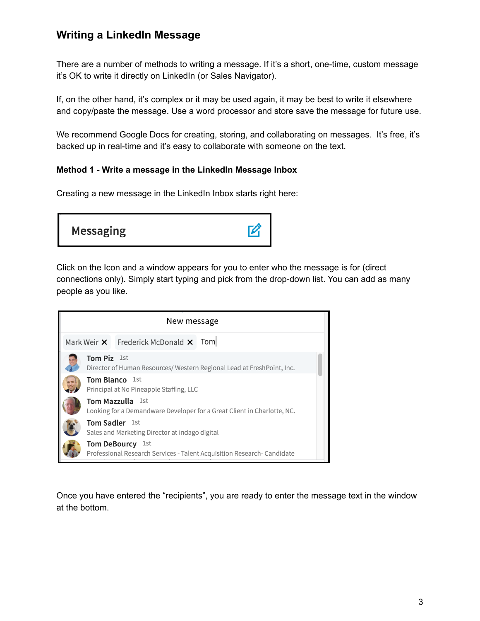# **Writing a LinkedIn Message**

There are a number of methods to writing a message. If it's a short, one-time, custom message it's OK to write it directly on LinkedIn (or Sales Navigator).

If, on the other hand, it's complex or it may be used again, it may be best to write it elsewhere and copy/paste the message. Use a word processor and store save the message for future use.

We recommend Google Docs for creating, storing, and collaborating on messages. It's free, it's backed up in real-time and it's easy to collaborate with someone on the text.

## **Method 1 - Write a message in the LinkedIn Message Inbox**

Creating a new message in the LinkedIn Inbox starts right here:



Click on the Icon and a window appears for you to enter who the message is for (direct connections only). Simply start typing and pick from the drop-down list. You can add as many people as you like.

| New message                                                                                        |                                                                                                   |                                                    |                                                                         |  |  |  |
|----------------------------------------------------------------------------------------------------|---------------------------------------------------------------------------------------------------|----------------------------------------------------|-------------------------------------------------------------------------|--|--|--|
|                                                                                                    |                                                                                                   | Mark Weir $\times$ Frederick McDonald $\times$ Tom |                                                                         |  |  |  |
|                                                                                                    | Tom Piz 1st                                                                                       |                                                    | Director of Human Resources/ Western Regional Lead at Fresh Point, Inc. |  |  |  |
| <b>Tom Blanco</b> 1st<br>Principal at No Pineapple Staffing, LLC                                   |                                                                                                   |                                                    |                                                                         |  |  |  |
| <b>Tom Mazzulla</b> 1st<br>Looking for a Demandware Developer for a Great Client in Charlotte, NC. |                                                                                                   |                                                    |                                                                         |  |  |  |
|                                                                                                    | <b>Tom Sadler</b> 1st<br>Sales and Marketing Director at indago digital                           |                                                    |                                                                         |  |  |  |
|                                                                                                    | <b>Tom DeBourcy</b> 1st<br>Professional Research Services - Talent Acquisition Research-Candidate |                                                    |                                                                         |  |  |  |

Once you have entered the "recipients", you are ready to enter the message text in the window at the bottom.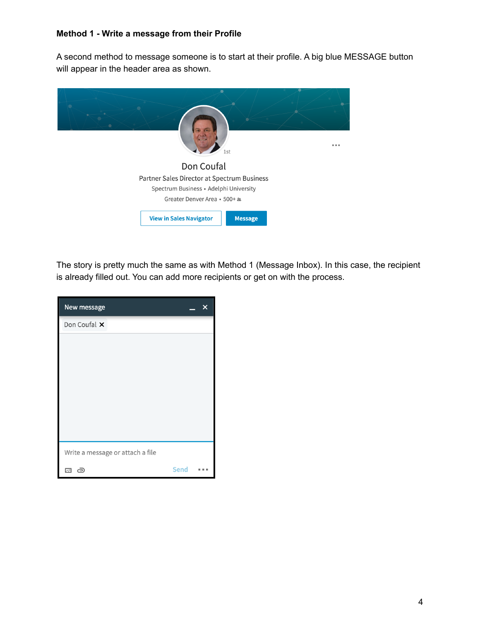#### **Method 1 - Write a message from their Profile**

A second method to message someone is to start at their profile. A big blue MESSAGE button will appear in the header area as shown.



The story is pretty much the same as with Method 1 (Message Inbox). In this case, the recipient is already filled out. You can add more recipients or get on with the process.

| New message                      |             | x              |  |  |
|----------------------------------|-------------|----------------|--|--|
| Don Coufal X                     |             |                |  |  |
|                                  |             |                |  |  |
|                                  |             |                |  |  |
|                                  |             |                |  |  |
|                                  |             |                |  |  |
|                                  |             |                |  |  |
|                                  |             |                |  |  |
|                                  |             |                |  |  |
| Write a message or attach a file |             |                |  |  |
| උ<br>$\overline{\mathbb{R}}$     | <b>Send</b> | <b>ILL III</b> |  |  |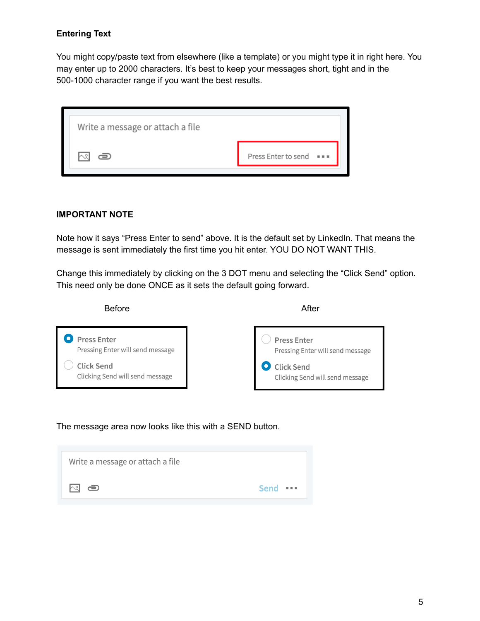## **Entering Text**

You might copy/paste text from elsewhere (like a template) or you might type it in right here. You may enter up to 2000 characters. It's best to keep your messages short, tight and in the 500-1000 character range if you want the best results.

| Write a message or attach a file |                                           |  |  |  |
|----------------------------------|-------------------------------------------|--|--|--|
|                                  | Press Enter to send<br>$\alpha \approx 0$ |  |  |  |

#### **IMPORTANT NOTE**

Note how it says "Press Enter to send" above. It is the default set by LinkedIn. That means the message is sent immediately the first time you hit enter. YOU DO NOT WANT THIS.

Change this immediately by clicking on the 3 DOT menu and selecting the "Click Send" option. This need only be done ONCE as it sets the default going forward.



The message area now looks like this with a SEND button.

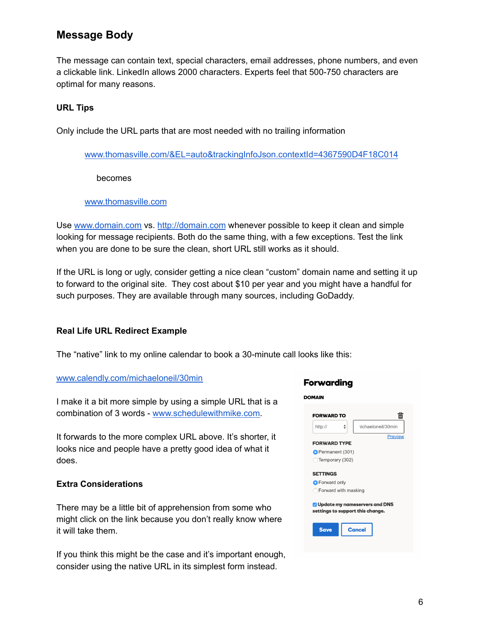# **Message Body**

The message can contain text, special characters, email addresses, phone numbers, and even a clickable link. LinkedIn allows 2000 characters. Experts feel that 500-750 characters are optimal for many reasons.

#### **URL Tips**

Only include the URL parts that are most needed with no trailing information

[www.thomasville.com/&EL=auto&trackingInfoJson.contextId=4367590D4F18C014](http://www.thomasville.com/&EL=auto&trackingInfoJson.contextId=4367590D4F18C014)

becomes

#### [www.thomasville.com](http://www.thomasville.com)

Use [www.domain.com](http://www.domain.com) vs. <http://domain.com> whenever possible to keep it clean and simple looking for message recipients. Both do the same thing, with a few exceptions. Test the link when you are done to be sure the clean, short URL still works as it should.

If the URL is long or ugly, consider getting a nice clean "custom" domain name and setting it up to forward to the original site. They cost about \$10 per year and you might have a handful for such purposes. They are available through many sources, including GoDaddy.

#### **Real Life URL Redirect Example**

The "native" link to my online calendar to book a 30-minute call looks like this:

#### [www.calendly.com/michaeloneil/30min](http://www.calendly.com/michaeloneil/30min)

I make it a bit more simple by using a simple URL that is a combination of 3 words - [www.schedulewithmike.com.](http://www.schedulewithmike.com)

It forwards to the more complex URL above. It's shorter, it looks nice and people have a pretty good idea of what it does.

#### **Extra Considerations**

There may be a little bit of apprehension from some who might click on the link because you don't really know where it will take them.

If you think this might be the case and it's important enough, consider using the native URL in its simplest form instead.

#### **DOMAIN** 侖 **FORWARD TO** nichaeloneil/30min http://  $\triangleq$ Preview **FORWARD TYPE** Permanent (301) Temporary (302) **SETTINGS O** Forward only ◯ Forward with masking Update my nameservers and DNS settings to support this change. **Cancel Save**

Forwarding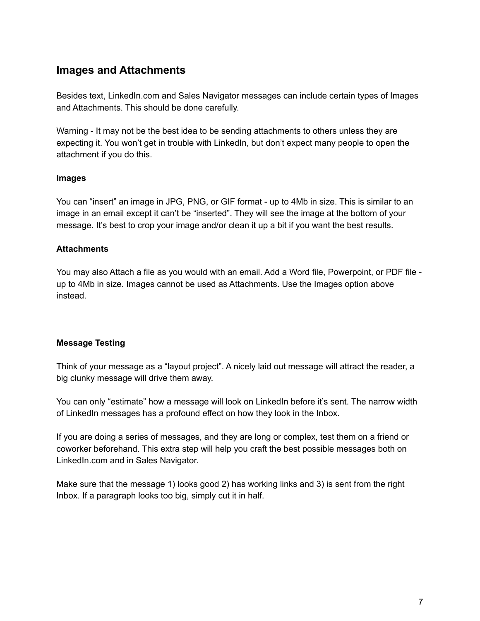# **Images and Attachments**

Besides text, LinkedIn.com and Sales Navigator messages can include certain types of Images and Attachments. This should be done carefully.

Warning - It may not be the best idea to be sending attachments to others unless they are expecting it. You won't get in trouble with LinkedIn, but don't expect many people to open the attachment if you do this.

#### **Images**

You can "insert" an image in JPG, PNG, or GIF format - up to 4Mb in size. This is similar to an image in an email except it can't be "inserted". They will see the image at the bottom of your message. It's best to crop your image and/or clean it up a bit if you want the best results.

## **Attachments**

You may also Attach a file as you would with an email. Add a Word file, Powerpoint, or PDF file up to 4Mb in size. Images cannot be used as Attachments. Use the Images option above instead.

## **Message Testing**

Think of your message as a "layout project". A nicely laid out message will attract the reader, a big clunky message will drive them away.

You can only "estimate" how a message will look on LinkedIn before it's sent. The narrow width of LinkedIn messages has a profound effect on how they look in the Inbox.

If you are doing a series of messages, and they are long or complex, test them on a friend or coworker beforehand. This extra step will help you craft the best possible messages both on LinkedIn.com and in Sales Navigator.

Make sure that the message 1) looks good 2) has working links and 3) is sent from the right Inbox. If a paragraph looks too big, simply cut it in half.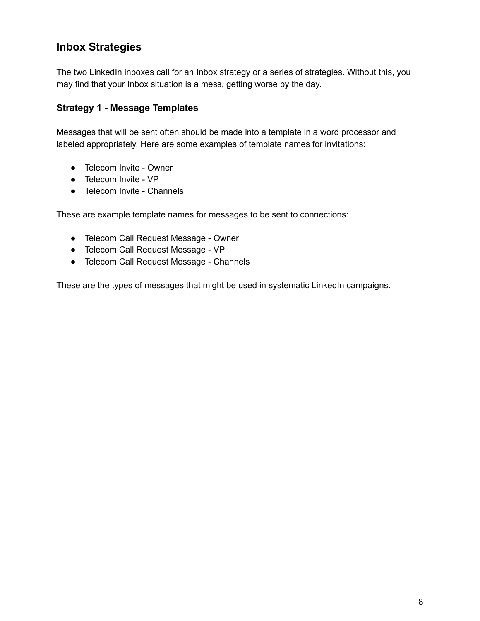# **Inbox Strategies**

The two LinkedIn inboxes call for an Inbox strategy or a series of strategies. Without this, you may find that your Inbox situation is a mess, getting worse by the day.

## **Strategy 1 - Message Templates**

Messages that will be sent often should be made into a template in a word processor and labeled appropriately. Here are some examples of template names for invitations:

- Telecom Invite Owner
- Telecom Invite VP
- Telecom Invite Channels

These are example template names for messages to be sent to connections:

- Telecom Call Request Message Owner
- Telecom Call Request Message VP
- Telecom Call Request Message Channels

These are the types of messages that might be used in systematic LinkedIn campaigns.